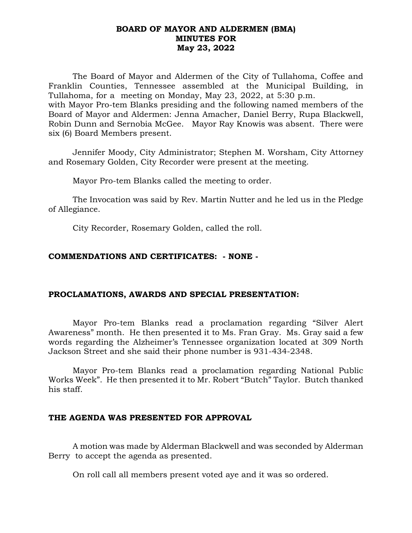## **BOARD OF MAYOR AND ALDERMEN (BMA) MINUTES FOR May 23, 2022**

 Robin Dunn and Sernobia McGee. Mayor Ray Knowis was absent. There were The Board of Mayor and Aldermen of the City of Tullahoma, Coffee and Franklin Counties, Tennessee assembled at the Municipal Building, in Tullahoma, for a meeting on Monday, May 23, 2022, at 5:30 p.m. with Mayor Pro-tem Blanks presiding and the following named members of the Board of Mayor and Aldermen: Jenna Amacher, Daniel Berry, Rupa Blackwell, six (6) Board Members present.

Jennifer Moody, City Administrator; Stephen M. Worsham, City Attorney and Rosemary Golden, City Recorder were present at the meeting.

Mayor Pro-tem Blanks called the meeting to order.

The Invocation was said by Rev. Martin Nutter and he led us in the Pledge of Allegiance.

City Recorder, Rosemary Golden, called the roll.

## **COMMENDATIONS AND CERTIFICATES: - NONE -**

### **PROCLAMATIONS, AWARDS AND SPECIAL PRESENTATION:**

Mayor Pro-tem Blanks read a proclamation regarding "Silver Alert Awareness" month. He then presented it to Ms. Fran Gray. Ms. Gray said a few words regarding the Alzheimer's Tennessee organization located at 309 North Jackson Street and she said their phone number is 931-434-2348.

Mayor Pro-tem Blanks read a proclamation regarding National Public Works Week". He then presented it to Mr. Robert "Butch" Taylor. Butch thanked his staff.

### **THE AGENDA WAS PRESENTED FOR APPROVAL**

A motion was made by Alderman Blackwell and was seconded by Alderman Berry to accept the agenda as presented.

On roll call all members present voted aye and it was so ordered.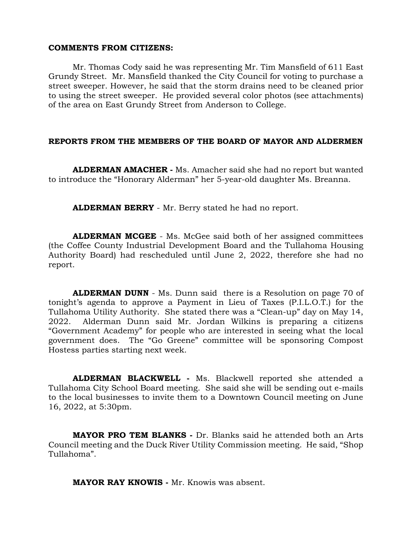#### **COMMENTS FROM CITIZENS:**

Mr. Thomas Cody said he was representing Mr. Tim Mansfield of 611 East Grundy Street. Mr. Mansfield thanked the City Council for voting to purchase a street sweeper. However, he said that the storm drains need to be cleaned prior to using the street sweeper. He provided several color photos (see attachments) of the area on East Grundy Street from Anderson to College.

### **REPORTS FROM THE MEMBERS OF THE BOARD OF MAYOR AND ALDERMEN**

**ALDERMAN AMACHER -** Ms. Amacher said she had no report but wanted to introduce the "Honorary Alderman" her 5-year-old daughter Ms. Breanna.

**ALDERMAN BERRY** - Mr. Berry stated he had no report.

**ALDERMAN MCGEE** - Ms. McGee said both of her assigned committees (the Coffee County Industrial Development Board and the Tullahoma Housing Authority Board) had rescheduled until June 2, 2022, therefore she had no report.

**ALDERMAN DUNN** - Ms. Dunn said there is a Resolution on page 70 of tonight's agenda to approve a Payment in Lieu of Taxes (P.I.L.O.T.) for the Tullahoma Utility Authority. She stated there was a "Clean-up" day on May 14, 2022. Alderman Dunn said Mr. Jordan Wilkins is preparing a citizens "Government Academy" for people who are interested in seeing what the local government does. The "Go Greene" committee will be sponsoring Compost Hostess parties starting next week.

**ALDERMAN BLACKWELL -** Ms. Blackwell reported she attended a Tullahoma City School Board meeting. She said she will be sending out e-mails to the local businesses to invite them to a Downtown Council meeting on June 16, 2022, at 5:30pm.

**MAYOR PRO TEM BLANKS -** Dr. Blanks said he attended both an Arts Council meeting and the Duck River Utility Commission meeting. He said, "Shop Tullahoma".

**MAYOR RAY KNOWIS -** Mr. Knowis was absent.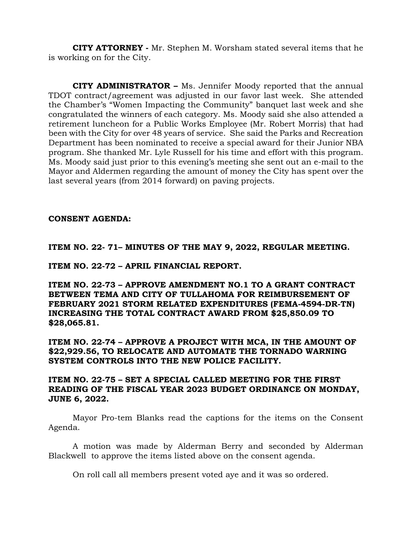**CITY ATTORNEY -** Mr. Stephen M. Worsham stated several items that he is working on for the City.

**CITY ADMINISTRATOR –** Ms. Jennifer Moody reported that the annual TDOT contract/agreement was adjusted in our favor last week. She attended the Chamber's "Women Impacting the Community" banquet last week and she congratulated the winners of each category. Ms. Moody said she also attended a retirement luncheon for a Public Works Employee (Mr. Robert Morris) that had been with the City for over 48 years of service. She said the Parks and Recreation Department has been nominated to receive a special award for their Junior NBA program. She thanked Mr. Lyle Russell for his time and effort with this program. Ms. Moody said just prior to this evening's meeting she sent out an e-mail to the Mayor and Aldermen regarding the amount of money the City has spent over the last several years (from 2014 forward) on paving projects.

## **CONSENT AGENDA:**

## **ITEM NO. 22- 71– MINUTES OF THE MAY 9, 2022, REGULAR MEETING.**

**ITEM NO. 22-72 – APRIL FINANCIAL REPORT.**

**ITEM NO. 22-73 – APPROVE AMENDMENT NO.1 TO A GRANT CONTRACT BETWEEN TEMA AND CITY OF TULLAHOMA FOR REIMBURSEMENT OF FEBRUARY 2021 STORM RELATED EXPENDITURES (FEMA-4594-DR-TN) INCREASING THE TOTAL CONTRACT AWARD FROM \$25,850.09 TO \$28,065.81.**

**ITEM NO. 22-74 – APPROVE A PROJECT WITH MCA, IN THE AMOUNT OF \$22,929.56, TO RELOCATE AND AUTOMATE THE TORNADO WARNING SYSTEM CONTROLS INTO THE NEW POLICE FACILITY.**

## **ITEM NO. 22-75 – SET A SPECIAL CALLED MEETING FOR THE FIRST READING OF THE FISCAL YEAR 2023 BUDGET ORDINANCE ON MONDAY, JUNE 6, 2022.**

Mayor Pro-tem Blanks read the captions for the items on the Consent Agenda.

A motion was made by Alderman Berry and seconded by Alderman Blackwell to approve the items listed above on the consent agenda.

On roll call all members present voted aye and it was so ordered.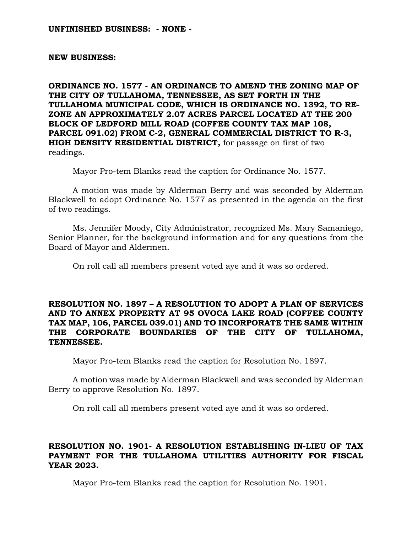#### **UNFINISHED BUSINESS: - NONE -**

#### **NEW BUSINESS:**

**ORDINANCE NO. 1577 - AN ORDINANCE TO AMEND THE ZONING MAP OF THE CITY OF TULLAHOMA, TENNESSEE, AS SET FORTH IN THE TULLAHOMA MUNICIPAL CODE, WHICH IS ORDINANCE NO. 1392, TO RE-ZONE AN APPROXIMATELY 2.07 ACRES PARCEL LOCATED AT THE 200 BLOCK OF LEDFORD MILL ROAD (COFFEE COUNTY TAX MAP 108, PARCEL 091.02) FROM C-2, GENERAL COMMERCIAL DISTRICT TO R-3, HIGH DENSITY RESIDENTIAL DISTRICT,** for passage on first of two readings.

Mayor Pro-tem Blanks read the caption for Ordinance No. 1577.

A motion was made by Alderman Berry and was seconded by Alderman Blackwell to adopt Ordinance No. 1577 as presented in the agenda on the first of two readings.

Ms. Jennifer Moody, City Administrator, recognized Ms. Mary Samaniego, Senior Planner, for the background information and for any questions from the Board of Mayor and Aldermen.

On roll call all members present voted aye and it was so ordered.

## **RESOLUTION NO. 1897 – A RESOLUTION TO ADOPT A PLAN OF SERVICES AND TO ANNEX PROPERTY AT 95 OVOCA LAKE ROAD (COFFEE COUNTY TAX MAP, 106, PARCEL 039.01) AND TO INCORPORATE THE SAME WITHIN THE CORPORATE BOUNDARIES OF THE CITY OF TULLAHOMA, TENNESSEE.**

Mayor Pro-tem Blanks read the caption for Resolution No. 1897.

A motion was made by Alderman Blackwell and was seconded by Alderman Berry to approve Resolution No. 1897.

On roll call all members present voted aye and it was so ordered.

### **RESOLUTION NO. 1901- A RESOLUTION ESTABLISHING IN-LIEU OF TAX PAYMENT FOR THE TULLAHOMA UTILITIES AUTHORITY FOR FISCAL YEAR 2023.**

Mayor Pro-tem Blanks read the caption for Resolution No. 1901.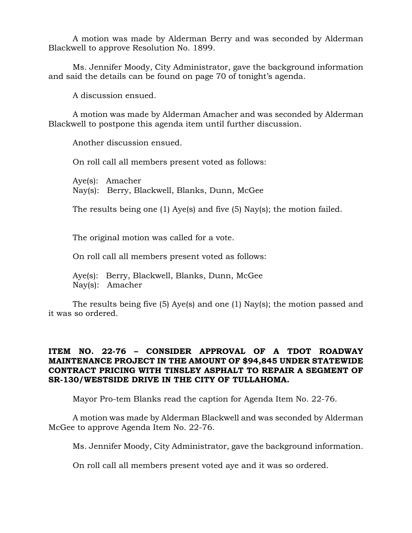A motion was made by Alderman Berry and was seconded by Alderman Blackwell to approve Resolution No. 1899.

Ms. Jennifer Moody, City Administrator, gave the background information and said the details can be found on page 70 of tonight's agenda.

A discussion ensued.

A motion was made by Alderman Amacher and was seconded by Alderman Blackwell to postpone this agenda item until further discussion.

Another discussion ensued.

On roll call all members present voted as follows:

Aye(s): Amacher Nay(s): Berry, Blackwell, Blanks, Dunn, McGee

The results being one (1) Aye(s) and five (5) Nay(s); the motion failed.

The original motion was called for a vote.

On roll call all members present voted as follows:

Aye(s): Berry, Blackwell, Blanks, Dunn, McGee Nay(s): Amacher

The results being five (5) Aye(s) and one (1) Nay(s); the motion passed and it was so ordered.

# **ITEM NO. 22-76 – CONSIDER APPROVAL OF A TDOT ROADWAY MAINTENANCE PROJECT IN THE AMOUNT OF \$94,845 UNDER STATEWIDE CONTRACT PRICING WITH TINSLEY ASPHALT TO REPAIR A SEGMENT OF SR-130/WESTSIDE DRIVE IN THE CITY OF TULLAHOMA.**

Mayor Pro-tem Blanks read the caption for Agenda Item No. 22-76.

A motion was made by Alderman Blackwell and was seconded by Alderman McGee to approve Agenda Item No. 22-76.

Ms. Jennifer Moody, City Administrator, gave the background information.

On roll call all members present voted aye and it was so ordered.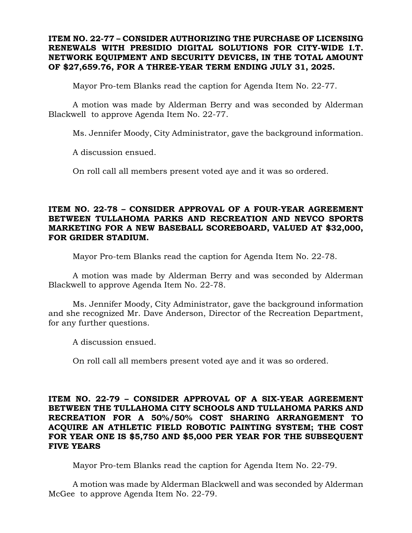## **ITEM NO. 22-77 – CONSIDER AUTHORIZING THE PURCHASE OF LICENSING RENEWALS WITH PRESIDIO DIGITAL SOLUTIONS FOR CITY-WIDE I.T. NETWORK EQUIPMENT AND SECURITY DEVICES, IN THE TOTAL AMOUNT OF \$27,659.76, FOR A THREE-YEAR TERM ENDING JULY 31, 2025.**

Mayor Pro-tem Blanks read the caption for Agenda Item No. 22-77.

A motion was made by Alderman Berry and was seconded by Alderman Blackwell to approve Agenda Item No. 22-77.

Ms. Jennifer Moody, City Administrator, gave the background information.

A discussion ensued.

On roll call all members present voted aye and it was so ordered.

## **ITEM NO. 22-78 – CONSIDER APPROVAL OF A FOUR-YEAR AGREEMENT BETWEEN TULLAHOMA PARKS AND RECREATION AND NEVCO SPORTS MARKETING FOR A NEW BASEBALL SCOREBOARD, VALUED AT \$32,000, FOR GRIDER STADIUM.**

Mayor Pro-tem Blanks read the caption for Agenda Item No. 22-78.

A motion was made by Alderman Berry and was seconded by Alderman Blackwell to approve Agenda Item No. 22-78.

Ms. Jennifer Moody, City Administrator, gave the background information and she recognized Mr. Dave Anderson, Director of the Recreation Department, for any further questions.

A discussion ensued.

On roll call all members present voted aye and it was so ordered.

# **ITEM NO. 22-79 – CONSIDER APPROVAL OF A SIX-YEAR AGREEMENT BETWEEN THE TULLAHOMA CITY SCHOOLS AND TULLAHOMA PARKS AND RECREATION FOR A 50%/50% COST SHARING ARRANGEMENT TO ACQUIRE AN ATHLETIC FIELD ROBOTIC PAINTING SYSTEM; THE COST FOR YEAR ONE IS \$5,750 AND \$5,000 PER YEAR FOR THE SUBSEQUENT FIVE YEARS**

Mayor Pro-tem Blanks read the caption for Agenda Item No. 22-79.

A motion was made by Alderman Blackwell and was seconded by Alderman McGee to approve Agenda Item No. 22-79.